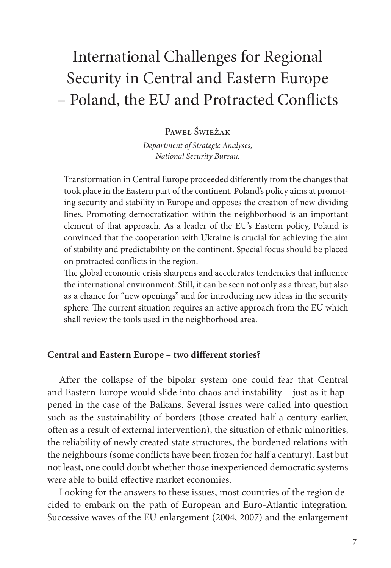# International Challenges for Regional Security in Central and Eastern Europe – Poland, the EU and Protracted Conflicts

Paweł Świeżak

*Department of Strategic Analyses, National Security Bureau.*

Transformation in Central Europe proceeded differently from the changes that took place in the Eastern part of the continent. Poland's policy aims at promoting security and stability in Europe and opposes the creation of new dividing lines. Promoting democratization within the neighborhood is an important element of that approach. As a leader of the EU's Eastern policy, Poland is convinced that the cooperation with Ukraine is crucial for achieving the aim of stability and predictability on the continent. Special focus should be placed on protracted conflicts in the region.

The global economic crisis sharpens and accelerates tendencies that influence the international environment. Still, it can be seen not only as a threat, but also as a chance for "new openings" and for introducing new ideas in the security sphere. The current situation requires an active approach from the EU which shall review the tools used in the neighborhood area.

## **Central and Eastern Europe – two different stories?**

After the collapse of the bipolar system one could fear that Central and Eastern Europe would slide into chaos and instability – just as it happened in the case of the Balkans. Several issues were called into question such as the sustainability of borders (those created half a century earlier, often as a result of external intervention), the situation of ethnic minorities, the reliability of newly created state structures, the burdened relations with the neighbours (some conflicts have been frozen for half a century). Last but not least, one could doubt whether those inexperienced democratic systems were able to build effective market economies.

Looking for the answers to these issues, most countries of the region decided to embark on the path of European and Euro-Atlantic integration. Successive waves of the EU enlargement (2004, 2007) and the enlargement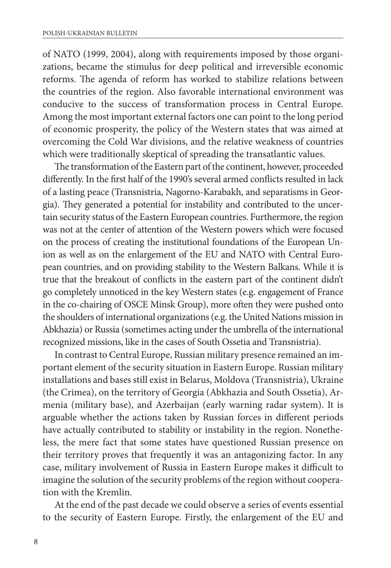of NATO (1999, 2004), along with requirements imposed by those organizations, became the stimulus for deep political and irreversible economic reforms. The agenda of reform has worked to stabilize relations between the countries of the region. Also favorable international environment was conducive to the success of transformation process in Central Europe. Among the most important external factors one can point to the long period of economic prosperity, the policy of the Western states that was aimed at overcoming the Cold War divisions, and the relative weakness of countries which were traditionally skeptical of spreading the transatlantic values.

The transformation of the Eastern part of the continent, however, proceeded differently. In the first half of the 1990's several armed conflicts resulted in lack of a lasting peace (Transnistria, Nagorno-Karabakh, and separatisms in Georgia). They generated a potential for instability and contributed to the uncertain security status of the Eastern European countries. Furthermore, the region was not at the center of attention of the Western powers which were focused on the process of creating the institutional foundations of the European Union as well as on the enlargement of the EU and NATO with Central European countries, and on providing stability to the Western Balkans. While it is true that the breakout of conflicts in the eastern part of the continent didn't go completely unnoticed in the key Western states (e.g. engagement of France in the co-chairing of OSCE Minsk Group), more often they were pushed onto the shoulders of international organizations (e.g. the United Nations mission in Abkhazia) or Russia (sometimes acting under the umbrella of the international recognized missions, like in the cases of South Ossetia and Transnistria).

In contrast to Central Europe, Russian military presence remained an important element of the security situation in Eastern Europe. Russian military installations and bases still exist in Belarus, Moldova (Transnistria), Ukraine (the Crimea), on the territory of Georgia (Abkhazia and South Ossetia), Armenia (military base), and Azerbaijan (early warning radar system). It is arguable whether the actions taken by Russian forces in different periods have actually contributed to stability or instability in the region. Nonetheless, the mere fact that some states have questioned Russian presence on their territory proves that frequently it was an antagonizing factor. In any case, military involvement of Russia in Eastern Europe makes it difficult to imagine the solution of the security problems of the region without cooperation with the Kremlin.

At the end of the past decade we could observe a series of events essential to the security of Eastern Europe. Firstly, the enlargement of the EU and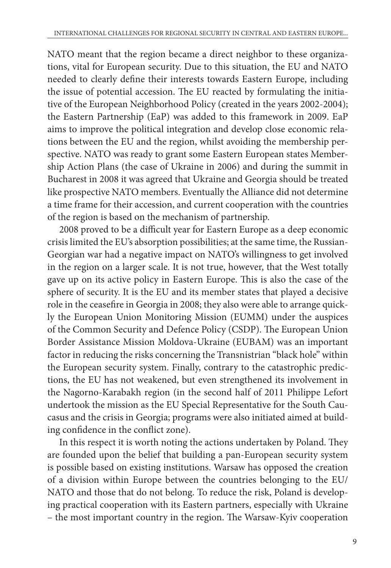NATO meant that the region became a direct neighbor to these organizations, vital for European security. Due to this situation, the EU and NATO needed to clearly define their interests towards Eastern Europe, including the issue of potential accession. The EU reacted by formulating the initiative of the European Neighborhood Policy (created in the years 2002-2004); the Eastern Partnership (EaP) was added to this framework in 2009. EaP aims to improve the political integration and develop close economic relations between the EU and the region, whilst avoiding the membership perspective. NATO was ready to grant some Eastern European states Membership Action Plans (the case of Ukraine in 2006) and during the summit in Bucharest in 2008 it was agreed that Ukraine and Georgia should be treated like prospective NATO members. Eventually the Alliance did not determine a time frame for their accession, and current cooperation with the countries of the region is based on the mechanism of partnership.

2008 proved to be a difficult year for Eastern Europe as a deep economic crisis limited the EU's absorption possibilities; at the same time, the Russian-Georgian war had a negative impact on NATO's willingness to get involved in the region on a larger scale. It is not true, however, that the West totally gave up on its active policy in Eastern Europe. This is also the case of the sphere of security. It is the EU and its member states that played a decisive role in the ceasefire in Georgia in 2008; they also were able to arrange quickly the European Union Monitoring Mission (EUMM) under the auspices of the Common Security and Defence Policy (CSDP). The European Union Border Assistance Mission Moldova-Ukraine (EUBAM) was an important factor in reducing the risks concerning the Transnistrian "black hole" within the European security system. Finally, contrary to the catastrophic predictions, the EU has not weakened, but even strengthened its involvement in the Nagorno-Karabakh region (in the second half of 2011 Philippe Lefort undertook the mission as the EU Special Representative for the South Caucasus and the crisis in Georgia; programs were also initiated aimed at building confidence in the conflict zone).

In this respect it is worth noting the actions undertaken by Poland. They are founded upon the belief that building a pan-European security system is possible based on existing institutions. Warsaw has opposed the creation of a division within Europe between the countries belonging to the EU/ NATO and those that do not belong. To reduce the risk, Poland is developing practical cooperation with its Eastern partners, especially with Ukraine – the most important country in the region. The Warsaw-Kyiv cooperation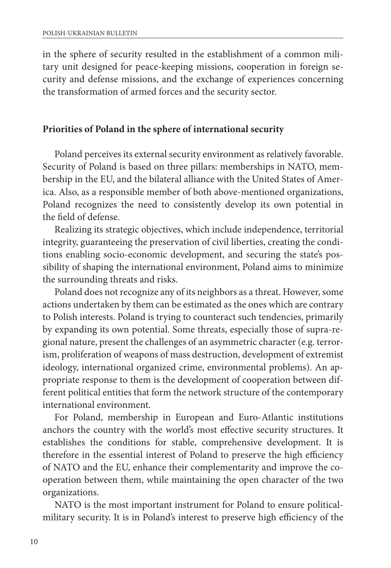in the sphere of security resulted in the establishment of a common military unit designed for peace-keeping missions, cooperation in foreign security and defense missions, and the exchange of experiences concerning the transformation of armed forces and the security sector.

### **Priorities of Poland in the sphere of international security**

Poland perceives its external security environment as relatively favorable. Security of Poland is based on three pillars: memberships in NATO, membership in the EU, and the bilateral alliance with the United States of America. Also, as a responsible member of both above-mentioned organizations, Poland recognizes the need to consistently develop its own potential in the field of defense.

Realizing its strategic objectives, which include independence, territorial integrity, guaranteeing the preservation of civil liberties, creating the conditions enabling socio-economic development, and securing the state's possibility of shaping the international environment, Poland aims to minimize the surrounding threats and risks.

Poland does not recognize any of its neighbors as a threat. However, some actions undertaken by them can be estimated as the ones which are contrary to Polish interests. Poland is trying to counteract such tendencies, primarily by expanding its own potential. Some threats, especially those of supra-regional nature, present the challenges of an asymmetric character (e.g. terrorism, proliferation of weapons of mass destruction, development of extremist ideology, international organized crime, environmental problems). An appropriate response to them is the development of cooperation between different political entities that form the network structure of the contemporary international environment.

For Poland, membership in European and Euro-Atlantic institutions anchors the country with the world's most effective security structures. It establishes the conditions for stable, comprehensive development. It is therefore in the essential interest of Poland to preserve the high efficiency of NATO and the EU, enhance their complementarity and improve the cooperation between them, while maintaining the open character of the two organizations.

NATO is the most important instrument for Poland to ensure politicalmilitary security. It is in Poland's interest to preserve high efficiency of the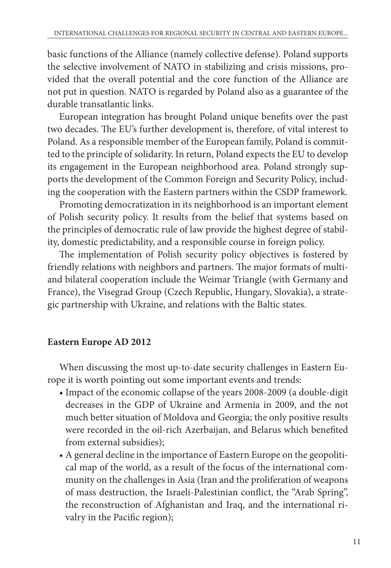basic functions of the Alliance (namely collective defense). Poland supports the selective involvement of NATO in stabilizing and crisis missions, provided that the overall potential and the core function of the Alliance are not put in question. NATO is regarded by Poland also as a guarantee of the durable transatlantic links.

European integration has brought Poland unique benefits over the past two decades. The EU's further development is, therefore, of vital interest to Poland. As a responsible member of the European family, Poland is committed to the principle of solidarity. In return, Poland expects the EU to develop its engagement in the European neighborhood area. Poland strongly supports the development of the Common Foreign and Security Policy, including the cooperation with the Eastern partners within the CSDP framework.

Promoting democratization in its neighborhood is an important element of Polish security policy. It results from the belief that systems based on the principles of democratic rule of law provide the highest degree of stability, domestic predictability, and a responsible course in foreign policy.

The implementation of Polish security policy objectives is fostered by friendly relations with neighbors and partners. The major formats of multiand bilateral cooperation include the Weimar Triangle (with Germany and France), the Visegrad Group (Czech Republic, Hungary, Slovakia), a strategic partnership with Ukraine, and relations with the Baltic states.

## **Eastern Europe AD 2012**

When discussing the most up-to-date security challenges in Eastern Europe it is worth pointing out some important events and trends:

- Impact of the economic collapse of the years 2008-2009 (a double-digit decreases in the GDP of Ukraine and Armenia in 2009, and the not much better situation of Moldova and Georgia; the only positive results were recorded in the oil-rich Azerbaijan, and Belarus which benefited from external subsidies);
- A general decline in the importance of Eastern Europe on the geopolitical map of the world, as a result of the focus of the international community on the challenges in Asia (Iran and the proliferation of weapons of mass destruction, the Israeli-Palestinian conflict, the "Arab Spring", the reconstruction of Afghanistan and Iraq, and the international rivalry in the Pacific region);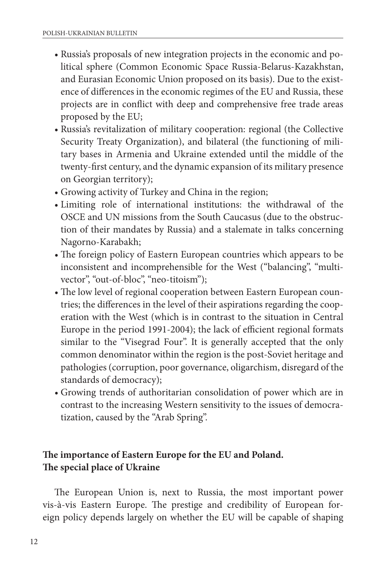- Russia's proposals of new integration projects in the economic and political sphere (Common Economic Space Russia-Belarus-Kazakhstan, and Eurasian Economic Union proposed on its basis). Due to the existence of differences in the economic regimes of the EU and Russia, these projects are in conflict with deep and comprehensive free trade areas proposed by the EU;
- Russia's revitalization of military cooperation: regional (the Collective Security Treaty Organization), and bilateral (the functioning of military bases in Armenia and Ukraine extended until the middle of the twenty-first century, and the dynamic expansion of its military presence on Georgian territory);
- Growing activity of Turkey and China in the region;
- Limiting role of international institutions: the withdrawal of the OSCE and UN missions from the South Caucasus (due to the obstruction of their mandates by Russia) and a stalemate in talks concerning Nagorno-Karabakh;
- The foreign policy of Eastern European countries which appears to be inconsistent and incomprehensible for the West ("balancing", "multivector", "out-of-bloc", "neo-titoism");
- The low level of regional cooperation between Eastern European countries; the differences in the level of their aspirations regarding the cooperation with the West (which is in contrast to the situation in Central Europe in the period 1991-2004); the lack of efficient regional formats similar to the "Visegrad Four". It is generally accepted that the only common denominator within the region is the post-Soviet heritage and pathologies (corruption, poor governance, oligarchism, disregard of the standards of democracy);
- Growing trends of authoritarian consolidation of power which are in contrast to the increasing Western sensitivity to the issues of democratization, caused by the "Arab Spring".

# **The importance of Eastern Europe for the EU and Poland. The special place of Ukraine**

The European Union is, next to Russia, the most important power vis-à-vis Eastern Europe. The prestige and credibility of European foreign policy depends largely on whether the EU will be capable of shaping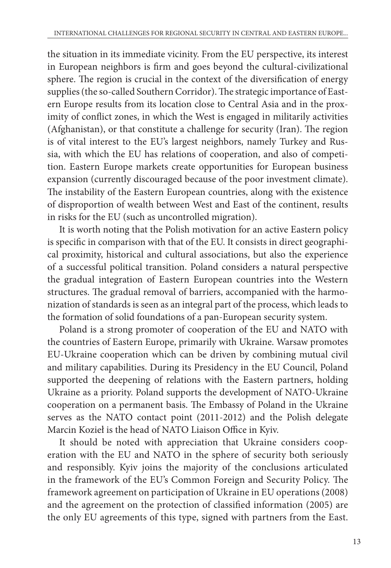the situation in its immediate vicinity. From the EU perspective, its interest in European neighbors is firm and goes beyond the cultural-civilizational sphere. The region is crucial in the context of the diversification of energy supplies (the so-called Southern Corridor). The strategic importance of Eastern Europe results from its location close to Central Asia and in the proximity of conflict zones, in which the West is engaged in militarily activities (Afghanistan), or that constitute a challenge for security (Iran). The region is of vital interest to the EU's largest neighbors, namely Turkey and Russia, with which the EU has relations of cooperation, and also of competition. Eastern Europe markets create opportunities for European business expansion (currently discouraged because of the poor investment climate). The instability of the Eastern European countries, along with the existence of disproportion of wealth between West and East of the continent, results in risks for the EU (such as uncontrolled migration).

It is worth noting that the Polish motivation for an active Eastern policy is specific in comparison with that of the EU. It consists in direct geographical proximity, historical and cultural associations, but also the experience of a successful political transition. Poland considers a natural perspective the gradual integration of Eastern European countries into the Western structures. The gradual removal of barriers, accompanied with the harmonization of standards is seen as an integral part of the process, which leads to the formation of solid foundations of a pan-European security system.

Poland is a strong promoter of cooperation of the EU and NATO with the countries of Eastern Europe, primarily with Ukraine. Warsaw promotes EU-Ukraine cooperation which can be driven by combining mutual civil and military capabilities. During its Presidency in the EU Council, Poland supported the deepening of relations with the Eastern partners, holding Ukraine as a priority. Poland supports the development of NATO-Ukraine cooperation on a permanent basis. The Embassy of Poland in the Ukraine serves as the NATO contact point (2011-2012) and the Polish delegate Marcin Kozieł is the head of NATO Liaison Office in Kyiv.

It should be noted with appreciation that Ukraine considers cooperation with the EU and NATO in the sphere of security both seriously and responsibly. Kyiv joins the majority of the conclusions articulated in the framework of the EU's Common Foreign and Security Policy. The framework agreement on participation of Ukraine in EU operations (2008) and the agreement on the protection of classified information (2005) are the only EU agreements of this type, signed with partners from the East.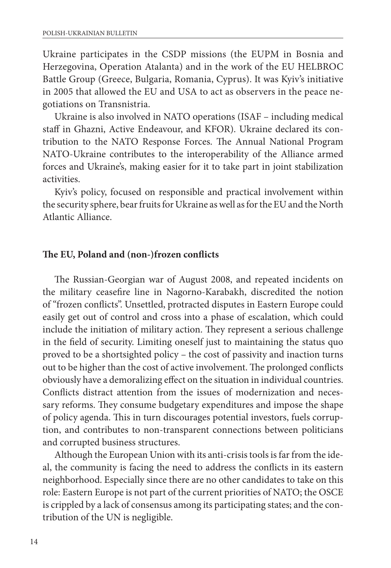Ukraine participates in the CSDP missions (the EUPM in Bosnia and Herzegovina, Operation Atalanta) and in the work of the EU HELBROC Battle Group (Greece, Bulgaria, Romania, Cyprus). It was Kyiv's initiative in 2005 that allowed the EU and USA to act as observers in the peace negotiations on Transnistria.

Ukraine is also involved in NATO operations (ISAF – including medical staff in Ghazni, Active Endeavour, and KFOR). Ukraine declared its contribution to the NATO Response Forces. The Annual National Program NATO-Ukraine contributes to the interoperability of the Alliance armed forces and Ukraine's, making easier for it to take part in joint stabilization activities.

Kyiv's policy, focused on responsible and practical involvement within the security sphere, bear fruits for Ukraine as well as for the EU and the North Atlantic Alliance.

### **The EU, Poland and (non-)frozen conflicts**

The Russian-Georgian war of August 2008, and repeated incidents on the military ceasefire line in Nagorno-Karabakh, discredited the notion of "frozen conflicts". Unsettled, protracted disputes in Eastern Europe could easily get out of control and cross into a phase of escalation, which could include the initiation of military action. They represent a serious challenge in the field of security. Limiting oneself just to maintaining the status quo proved to be a shortsighted policy – the cost of passivity and inaction turns out to be higher than the cost of active involvement. The prolonged conflicts obviously have a demoralizing effect on the situation in individual countries. Conflicts distract attention from the issues of modernization and necessary reforms. They consume budgetary expenditures and impose the shape of policy agenda. This in turn discourages potential investors, fuels corruption, and contributes to non-transparent connections between politicians and corrupted business structures.

Although the European Union with its anti-crisis tools is far from the ideal, the community is facing the need to address the conflicts in its eastern neighborhood. Especially since there are no other candidates to take on this role: Eastern Europe is not part of the current priorities of NATO; the OSCE is crippled by a lack of consensus among its participating states; and the contribution of the UN is negligible.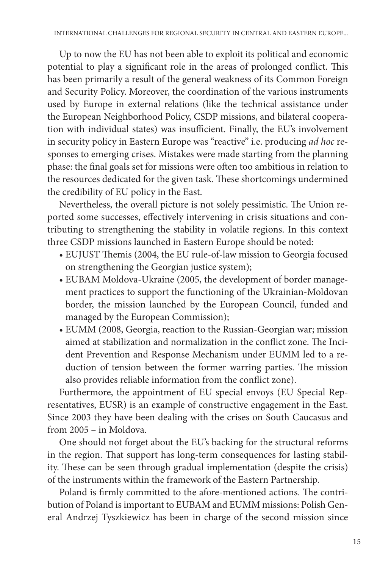Up to now the EU has not been able to exploit its political and economic potential to play a significant role in the areas of prolonged conflict. This has been primarily a result of the general weakness of its Common Foreign and Security Policy. Moreover, the coordination of the various instruments used by Europe in external relations (like the technical assistance under the European Neighborhood Policy, CSDP missions, and bilateral cooperation with individual states) was insufficient. Finally, the EU's involvement in security policy in Eastern Europe was "reactive" i.e. producing *ad hoc* responses to emerging crises. Mistakes were made starting from the planning phase: the final goals set for missions were often too ambitious in relation to the resources dedicated for the given task. These shortcomings undermined the credibility of EU policy in the East.

Nevertheless, the overall picture is not solely pessimistic. The Union reported some successes, effectively intervening in crisis situations and contributing to strengthening the stability in volatile regions. In this context three CSDP missions launched in Eastern Europe should be noted:

- EUJUST Themis (2004, the EU rule-of-law mission to Georgia focused on strengthening the Georgian justice system);
- EUBAM Moldova-Ukraine (2005, the development of border management practices to support the functioning of the Ukrainian-Moldovan border, the mission launched by the European Council, funded and managed by the European Commission);
- EUMM (2008, Georgia, reaction to the Russian-Georgian war; mission aimed at stabilization and normalization in the conflict zone. The Incident Prevention and Response Mechanism under EUMM led to a reduction of tension between the former warring parties. The mission also provides reliable information from the conflict zone).

Furthermore, the appointment of EU special envoys (EU Special Representatives, EUSR) is an example of constructive engagement in the East. Since 2003 they have been dealing with the crises on South Caucasus and from 2005 – in Moldova.

One should not forget about the EU's backing for the structural reforms in the region. That support has long-term consequences for lasting stability. These can be seen through gradual implementation (despite the crisis) of the instruments within the framework of the Eastern Partnership.

Poland is firmly committed to the afore-mentioned actions. The contribution of Poland is important to EUBAM and EUMM missions: Polish General Andrzej Tyszkiewicz has been in charge of the second mission since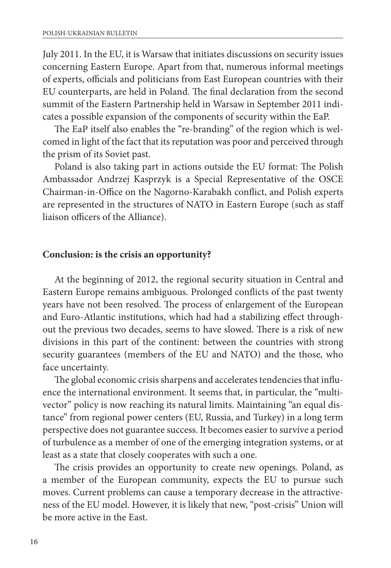July 2011. In the EU, it is Warsaw that initiates discussions on security issues concerning Eastern Europe. Apart from that, numerous informal meetings of experts, officials and politicians from East European countries with their EU counterparts, are held in Poland. The final declaration from the second summit of the Eastern Partnership held in Warsaw in September 2011 indicates a possible expansion of the components of security within the EaP.

The EaP itself also enables the "re-branding" of the region which is welcomed in light of the fact that its reputation was poor and perceived through the prism of its Soviet past.

Poland is also taking part in actions outside the EU format: The Polish Ambassador Andrzej Kasprzyk is a Special Representative of the OSCE Chairman-in-Office on the Nagorno-Karabakh conflict, and Polish experts are represented in the structures of NATO in Eastern Europe (such as staff liaison officers of the Alliance).

#### **Conclusion: is the crisis an opportunity?**

At the beginning of 2012, the regional security situation in Central and Eastern Europe remains ambiguous. Prolonged conflicts of the past twenty years have not been resolved. The process of enlargement of the European and Euro-Atlantic institutions, which had had a stabilizing effect throughout the previous two decades, seems to have slowed. There is a risk of new divisions in this part of the continent: between the countries with strong security guarantees (members of the EU and NATO) and the those, who face uncertainty.

The global economic crisis sharpens and accelerates tendencies that influence the international environment. It seems that, in particular, the "multivector" policy is now reaching its natural limits. Maintaining "an equal distance" from regional power centers (EU, Russia, and Turkey) in a long term perspective does not guarantee success. It becomes easier to survive a period of turbulence as a member of one of the emerging integration systems, or at least as a state that closely cooperates with such a one.

The crisis provides an opportunity to create new openings. Poland, as a member of the European community, expects the EU to pursue such moves. Current problems can cause a temporary decrease in the attractiveness of the EU model. However, it is likely that new, "post-crisis" Union will be more active in the East.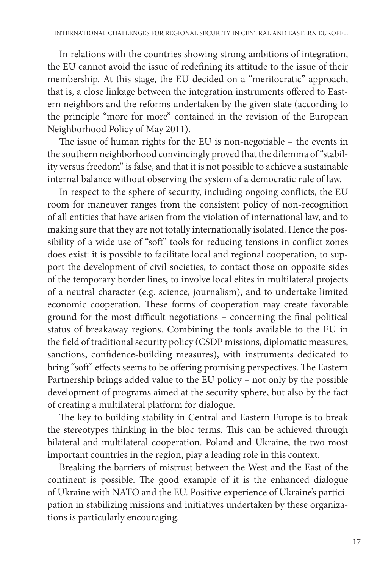In relations with the countries showing strong ambitions of integration, the EU cannot avoid the issue of redefining its attitude to the issue of their membership. At this stage, the EU decided on a "meritocratic" approach, that is, a close linkage between the integration instruments offered to Eastern neighbors and the reforms undertaken by the given state (according to the principle "more for more" contained in the revision of the European Neighborhood Policy of May 2011).

The issue of human rights for the EU is non-negotiable – the events in the southern neighborhood convincingly proved that the dilemma of"stability versus freedom" is false, and that it is not possible to achieve a sustainable internal balance without observing the system of a democratic rule of law.

In respect to the sphere of security, including ongoing conflicts, the EU room for maneuver ranges from the consistent policy of non-recognition of all entities that have arisen from the violation of international law, and to making sure that they are not totally internationally isolated. Hence the possibility of a wide use of "soft" tools for reducing tensions in conflict zones does exist: it is possible to facilitate local and regional cooperation, to support the development of civil societies, to contact those on opposite sides of the temporary border lines, to involve local elites in multilateral projects of a neutral character (e.g. science, journalism), and to undertake limited economic cooperation. These forms of cooperation may create favorable ground for the most difficult negotiations – concerning the final political status of breakaway regions. Combining the tools available to the EU in the field of traditional security policy (CSDP missions, diplomatic measures, sanctions, confidence-building measures), with instruments dedicated to bring "soft" effects seems to be offering promising perspectives. The Eastern Partnership brings added value to the EU policy – not only by the possible development of programs aimed at the security sphere, but also by the fact of creating a multilateral platform for dialogue.

The key to building stability in Central and Eastern Europe is to break the stereotypes thinking in the bloc terms. This can be achieved through bilateral and multilateral cooperation. Poland and Ukraine, the two most important countries in the region, play a leading role in this context.

Breaking the barriers of mistrust between the West and the East of the continent is possible. The good example of it is the enhanced dialogue of Ukraine with NATO and the EU. Positive experience of Ukraine's participation in stabilizing missions and initiatives undertaken by these organizations is particularly encouraging.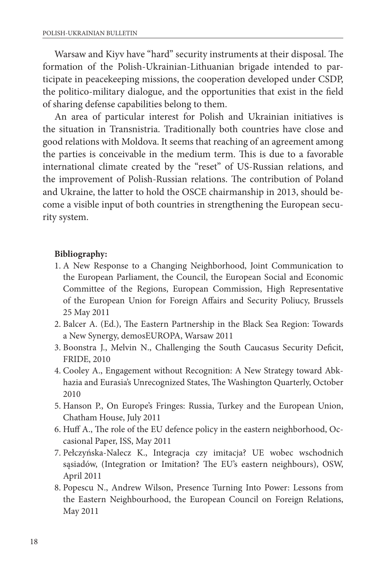Warsaw and Kiyv have "hard" security instruments at their disposal. The formation of the Polish-Ukrainian-Lithuanian brigade intended to participate in peacekeeping missions, the cooperation developed under CSDP, the politico-military dialogue, and the opportunities that exist in the field of sharing defense capabilities belong to them.

An area of particular interest for Polish and Ukrainian initiatives is the situation in Transnistria. Traditionally both countries have close and good relations with Moldova. It seems that reaching of an agreement among the parties is conceivable in the medium term. This is due to a favorable international climate created by the "reset" of US-Russian relations, and the improvement of Polish-Russian relations. The contribution of Poland and Ukraine, the latter to hold the OSCE chairmanship in 2013, should become a visible input of both countries in strengthening the European security system.

## **Bibliography:**

- 1. A New Response to a Changing Neighborhood, Joint Communication to the European Parliament, the Council, the European Social and Economic Committee of the Regions, European Commission, High Representative of the European Union for Foreign Affairs and Security Poliucy, Brussels 25 May 2011
- 2. Balcer A. (Ed.), The Eastern Partnership in the Black Sea Region: Towards a New Synergy, demosEUROPA, Warsaw 2011
- 3. Boonstra J., Melvin N., Challenging the South Caucasus Security Deficit, FRIDE, 2010
- 4. Cooley A., Engagement without Recognition: A New Strategy toward Abkhazia and Eurasia's Unrecognized States, The Washington Quarterly, October 2010
- 5. Hanson P., On Europe's Fringes: Russia, Turkey and the European Union, Chatham House, July 2011
- 6. Huff A., The role of the EU defence policy in the eastern neighborhood, Occasional Paper, ISS, May 2011
- 7. Pełczyńska-Nalecz K., Integracja czy imitacja? UE wobec wschodnich sąsiadów, (Integration or Imitation? The EU's eastern neighbours), OSW, April 2011
- 8. Popescu N., Andrew Wilson, Presence Turning Into Power: Lessons from the Eastern Neighbourhood, the European Council on Foreign Relations, May 2011